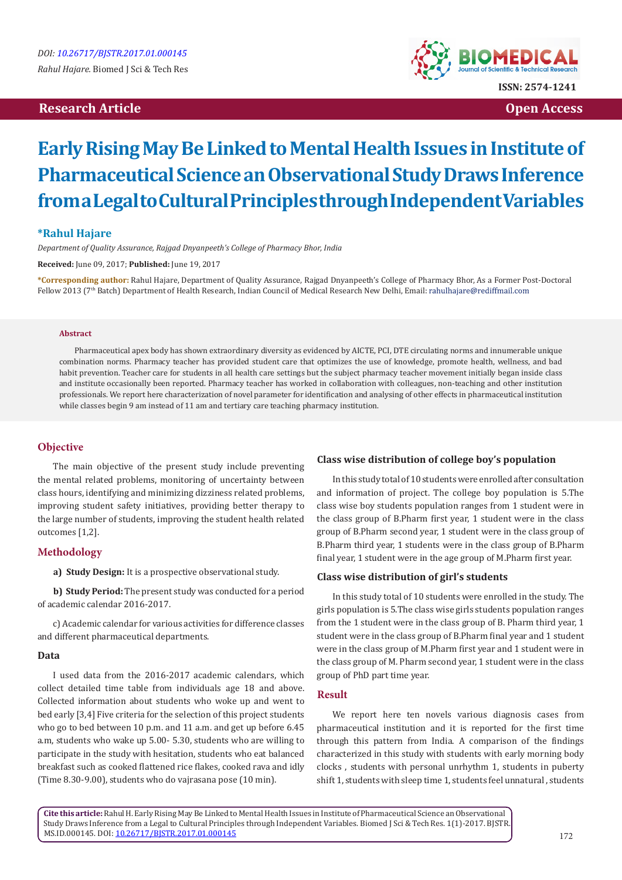## **Research Article Open Access**



# **Early Rising May Be Linked to Mental Health Issues in Institute of Pharmaceutical Science an Observational Study Draws Inference from a Legal to Cultural Principles through Independent Variables**

## **\*Rahul Hajare**

*Department of Quality Assurance, Rajgad Dnyanpeeth's College of Pharmacy Bhor, India*

**Received:** June 09, 2017; **Published:** June 19, 2017

**\*Corresponding author:** Rahul Hajare, Department of Quality Assurance, Rajgad Dnyanpeeth's College of Pharmacy Bhor, As a Former Post-Doctoral Fellow 2013 (7<sup>th</sup> Batch) Department of Health Research, Indian Council of Medical Research New Delhi, Email: rahulhajare@rediffmail.com

#### **Abstract**

Pharmaceutical apex body has shown extraordinary diversity as evidenced by AICTE, PCI, DTE circulating norms and innumerable unique combination norms. Pharmacy teacher has provided student care that optimizes the use of knowledge, promote health, wellness, and bad habit prevention. Teacher care for students in all health care settings but the subject pharmacy teacher movement initially began inside class and institute occasionally been reported. Pharmacy teacher has worked in collaboration with colleagues, non-teaching and other institution professionals. We report here characterization of novel parameter for identification and analysing of other effects in pharmaceutical institution while classes begin 9 am instead of 11 am and tertiary care teaching pharmacy institution.

## **Objective**

The main objective of the present study include preventing the mental related problems, monitoring of uncertainty between class hours, identifying and minimizing dizziness related problems, improving student safety initiatives, providing better therapy to the large number of students, improving the student health related outcomes [1,2].

#### **Methodology**

**a) Study Design:** It is a prospective observational study.

**b) Study Period:** The present study was conducted for a period of academic calendar 2016-2017.

c) Academic calendar for various activities for difference classes and different pharmaceutical departments.

#### **Data**

I used data from the 2016-2017 academic calendars, which collect detailed time table from individuals age 18 and above. Collected information about students who woke up and went to bed early [3,4] Five criteria for the selection of this project students who go to bed between 10 p.m. and 11 a.m. and get up before 6.45 a.m, students who wake up 5.00- 5.30, students who are willing to participate in the study with hesitation, students who eat balanced breakfast such as cooked flattened rice flakes, cooked rava and idly (Time 8.30-9.00), students who do vajrasana pose (10 min).

#### **Class wise distribution of college boy's population**

In this study total of 10 students were enrolled after consultation and information of project. The college boy population is 5.The class wise boy students population ranges from 1 student were in the class group of B.Pharm first year, 1 student were in the class group of B.Pharm second year, 1 student were in the class group of B.Pharm third year, 1 students were in the class group of B.Pharm final year, 1 student were in the age group of M.Pharm first year.

## **Class wise distribution of girl's students**

In this study total of 10 students were enrolled in the study. The girls population is 5.The class wise girls students population ranges from the 1 student were in the class group of B. Pharm third year, 1 student were in the class group of B.Pharm final year and 1 student were in the class group of M.Pharm first year and 1 student were in the class group of M. Pharm second year, 1 student were in the class group of PhD part time year.

## **Result**

We report here ten novels various diagnosis cases from pharmaceutical institution and it is reported for the first time through this pattern from India. A comparison of the findings characterized in this study with students with early morning body clocks , students with personal unrhythm 1, students in puberty shift 1, students with sleep time 1, students feel unnatural , students

**Cite this article:** Rahul H. Early Rising May Be Linked to Mental Health Issues in Institute of Pharmaceutical Science an Observational Study Draws Inference from a Legal to Cultural Principles through Independent Variables. Biomed J Sci & Tech Res. 1(1)-2017. BJSTR. MS.ID.000145. DOI: [10.26717/BJSTR.2017.01.000145](http://dx.doi.org/10.26717/BJSTR.2017.01.000145
)